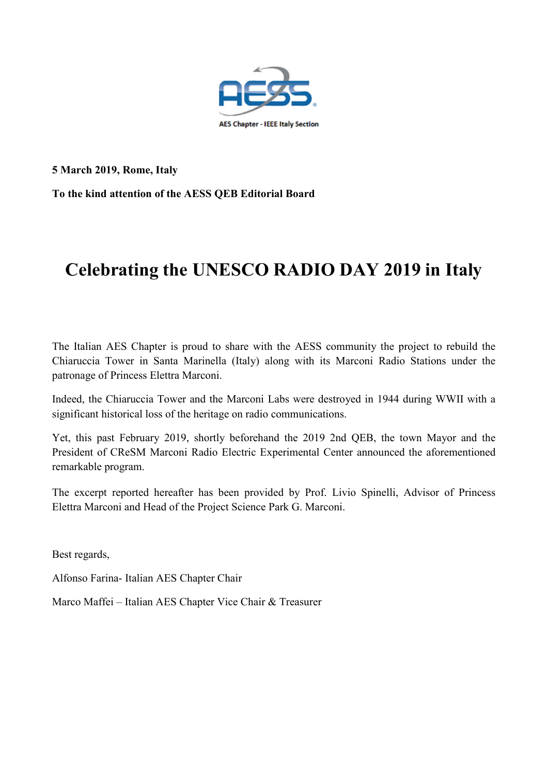

**5 March 2019, Rome, Italy**

**To the kind attention of the AESS QEB Editorial Board**

# **Celebrating the UNESCO RADIO DAY 2019 in Italy**

The Italian AES Chapter is proud to share with the AESS community the project to rebuild the Chiaruccia Tower in Santa Marinella (Italy) along with its Marconi Radio Stations under the patronage of Princess Elettra Marconi.

Indeed, the Chiaruccia Tower and the Marconi Labs were destroyed in 1944 during WWII with a significant historical loss of the heritage on radio communications.

Yet, this past February 2019, shortly beforehand the 2019 2nd QEB, the town Mayor and the President of CReSM Marconi Radio Electric Experimental Center announced the aforementioned remarkable program.

The excerpt reported hereafter has been provided by Prof. Livio Spinelli, Advisor of Princess Elettra Marconi and Head of the Project Science Park G. Marconi.

Best regards,

Alfonso Farina- Italian AES Chapter Chair

Marco Maffei – Italian AES Chapter Vice Chair & Treasurer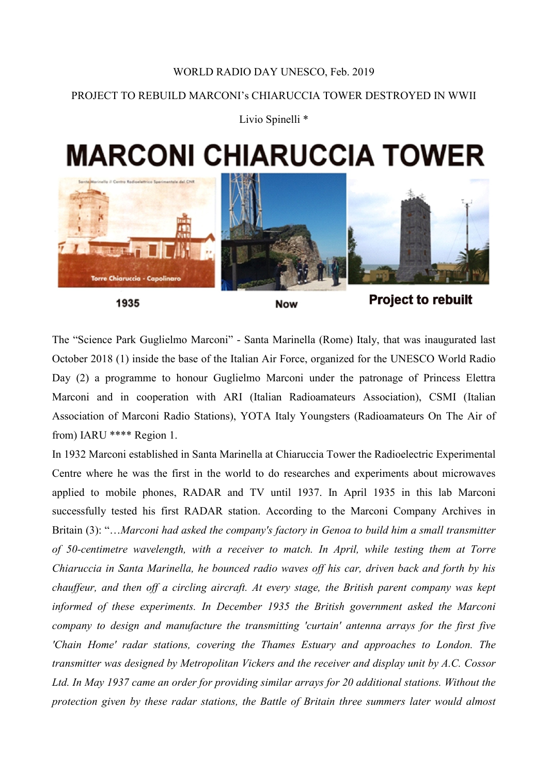### WORLD RADIO DAY UNESCO, Feb. 2019

## PROJECT TO REBUILD MARCONI's CHIARUCCIA TOWER DESTROYED IN WWII

Livio Spinelli<sup>\*</sup>

# **MARCONI CHIARUCCIA TOWER**



1935

#### **Now**

# **Project to rebuilt**

The "Science Park Guglielmo Marconi" - Santa Marinella (Rome) Italy, that was inaugurated last October 2018 (1) inside the base of the Italian Air Force, organized for the UNESCO World Radio Day (2) a programme to honour Guglielmo Marconi under the patronage of Princess Elettra Marconi and in cooperation with ARI (Italian Radioamateurs Association), CSMI (Italian Association of Marconi Radio Stations), YOTA Italy Youngsters (Radioamateurs On The Air of from) IARU \*\*\*\* Region 1.

In 1932 Marconi established in Santa Marinella at Chiaruccia Tower the Radioelectric Experimental Centre where he was the first in the world to do researches and experiments about microwaves applied to mobile phones, RADAR and TV until 1937. In April 1935 in this lab Marconi successfully tested his first RADAR station. According to the Marconi Company Archives in Britain (3): "…*Marconi had asked the company's factory in Genoa to build him a small transmitter of 50-centimetre wavelength, with a receiver to match. In April, while testing them at Torre Chiaruccia in Santa Marinella, he bounced radio waves off his car, driven back and forth by his chauffeur, and then off a circling aircraft. At every stage, the British parent company was kept informed of these experiments. In December 1935 the British government asked the Marconi company to design and manufacture the transmitting 'curtain' antenna arrays for the first five 'Chain Home' radar stations, covering the Thames Estuary and approaches to London. The transmitter was designed by Metropolitan Vickers and the receiver and display unit by A.C. Cossor Ltd. In May 1937 came an order for providing similar arrays for 20 additional stations. Without the protection given by these radar stations, the Battle of Britain three summers later would almost*